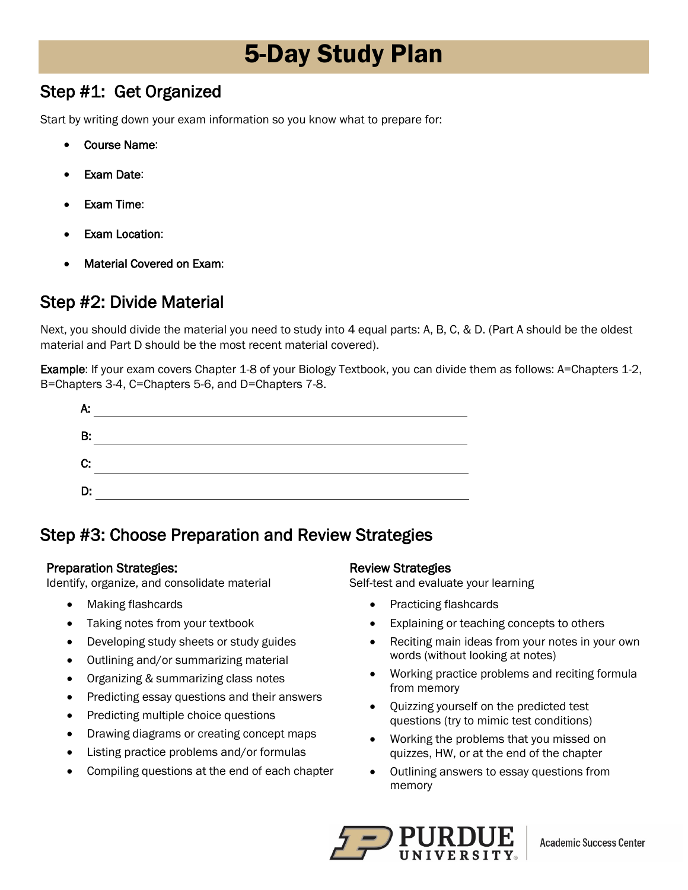# 5-Day Study Plan

### Step #1: Get Organized

Start by writing down your exam information so you know what to prepare for:

- Course Name:
- **Exam Date:**
- **Exam Time:**
- **Exam Location:**
- Material Covered on Exam:

### Step #2: Divide Material

 Next, you should divide the material you need to study into 4 equal parts: A, B, C, & D. (Part A should be the oldest material and Part D should be the most recent material covered).

Example: If your exam covers Chapter 1-8 of your Biology Textbook, you can divide them as follows: A=Chapters 1-2, B=Chapters 3-4, C=Chapters 5-6, and D=Chapters 7-8.

| А. |  |
|----|--|
| B: |  |
| C: |  |
| D. |  |

### Step #3: Choose Preparation and Review Strategies

#### Preparation Strategies:

Identify, organize, and consolidate material

- Making flashcards
- Taking notes from your textbook
- Developing study sheets or study guides
- Outlining and/or summarizing material
- Organizing & summarizing class notes
- Predicting essay questions and their answers
- Predicting multiple choice questions
- Drawing diagrams or creating concept maps
- Listing practice problems and/or formulas
- Compiling questions at the end of each chapter

#### Review Strategies

Self-test and evaluate your learning

- Practicing flashcards
- Explaining or teaching concepts to others
- words (without looking at notes) • Reciting main ideas from your notes in your own
- Working practice problems and reciting formula from memory
- Quizzing yourself on the predicted test questions (try to mimic test conditions)
- Working the problems that you missed on quizzes, HW, or at the end of the chapter
- Outlining answers to essay questions from memory